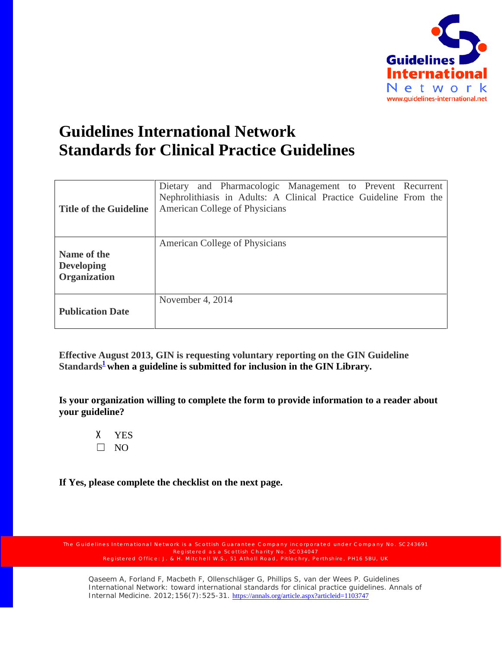

## **Guidelines International Network Standards for Clinical Practice Guidelines**

| <b>Title of the Guideline</b>                           | Dietary and Pharmacologic Management to Prevent Recurrent<br>Nephrolithiasis in Adults: A Clinical Practice Guideline From the<br>American College of Physicians |
|---------------------------------------------------------|------------------------------------------------------------------------------------------------------------------------------------------------------------------|
| Name of the<br><b>Developing</b><br><b>Organization</b> | American College of Physicians                                                                                                                                   |
| <b>Publication Date</b>                                 | November 4, 2014                                                                                                                                                 |

**Effective August 2013, GIN is requesting voluntary reporting on the GIN Guideline**  Standards<sup>1</sup> when a guideline is submitted for inclusion in the GIN Library.

**Is your organization willing to complete the form to provide information to a reader about your guideline?**

X YES  $\Box$  NO

**If Yes, please complete the checklist on the next page.**

Registered as a Scottish Charity No. SC034047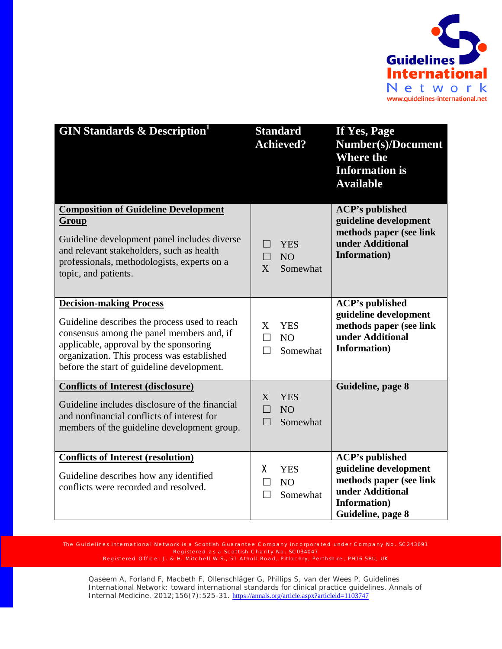

| <b>GIN Standards &amp; Description</b>                                                                                                                                                                                                                             | <b>Standard</b><br><b>Achieved?</b>                                          | If Yes, Page<br><b>Number(s)/Document</b><br><b>Where the</b><br><b>Information is</b><br><b>Available</b>                          |
|--------------------------------------------------------------------------------------------------------------------------------------------------------------------------------------------------------------------------------------------------------------------|------------------------------------------------------------------------------|-------------------------------------------------------------------------------------------------------------------------------------|
| <b>Composition of Guideline Development</b><br>Group<br>Guideline development panel includes diverse<br>and relevant stakeholders, such as health<br>professionals, methodologists, experts on a<br>topic, and patients.                                           | <b>YES</b><br>$\Box$<br>N <sub>O</sub><br>$\vert \ \ \vert$<br>X<br>Somewhat | <b>ACP's published</b><br>guideline development<br>methods paper (see link<br>under Additional<br>Information)                      |
| <b>Decision-making Process</b><br>Guideline describes the process used to reach<br>consensus among the panel members and, if<br>applicable, approval by the sponsoring<br>organization. This process was established<br>before the start of guideline development. | X<br><b>YES</b><br>N <sub>O</sub><br>$\mathsf{L}$<br>Somewhat                | <b>ACP's published</b><br>guideline development<br>methods paper (see link<br>under Additional<br>Information)                      |
| <b>Conflicts of Interest (disclosure)</b><br>Guideline includes disclosure of the financial<br>and nonfinancial conflicts of interest for<br>members of the guideline development group.                                                                           | <b>YES</b><br>X<br>NO <sub>1</sub><br>$\Box$<br>Somewhat<br>$\Box$           | Guideline, page 8                                                                                                                   |
| <b>Conflicts of Interest (resolution)</b><br>Guideline describes how any identified<br>conflicts were recorded and resolved.                                                                                                                                       | χ<br><b>YES</b><br>N <sub>O</sub><br>Somewhat                                | <b>ACP's published</b><br>guideline development<br>methods paper (see link<br>under Additional<br>Information)<br>Guideline, page 8 |

Registered as a Scottish Charity No. SC034047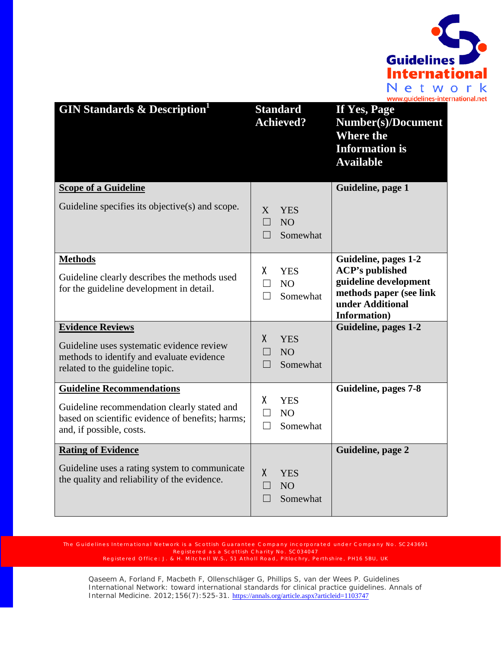

| <b>GIN Standards &amp; Description</b>                                                                                                                          | <b>Standard</b><br><b>Achieved?</b>                                      | If Yes, Page<br><b>Number(s)/Document</b><br><b>Where the</b><br><b>Information is</b><br><b>Available</b>                             |
|-----------------------------------------------------------------------------------------------------------------------------------------------------------------|--------------------------------------------------------------------------|----------------------------------------------------------------------------------------------------------------------------------------|
| <b>Scope of a Guideline</b>                                                                                                                                     |                                                                          | Guideline, page 1                                                                                                                      |
| Guideline specifies its objective(s) and scope.                                                                                                                 | X<br><b>YES</b><br>П<br>NO <sub>1</sub><br>Somewhat<br>$\vert \ \ \vert$ |                                                                                                                                        |
| <b>Methods</b><br>Guideline clearly describes the methods used<br>for the guideline development in detail.                                                      | X.<br><b>YES</b><br>П<br>N <sub>O</sub><br>Somewhat                      | Guideline, pages 1-2<br><b>ACP's published</b><br>guideline development<br>methods paper (see link<br>under Additional<br>Information) |
| <b>Evidence Reviews</b><br>Guideline uses systematic evidence review<br>methods to identify and evaluate evidence<br>related to the guideline topic.            | X<br><b>YES</b><br>NO <sub>1</sub><br>Somewhat<br>П                      | Guideline, pages 1-2                                                                                                                   |
| <b>Guideline Recommendations</b><br>Guideline recommendation clearly stated and<br>based on scientific evidence of benefits; harms;<br>and, if possible, costs. | X.<br><b>YES</b><br>N <sub>O</sub><br>$\Box$<br>Somewhat<br>$\Box$       | Guideline, pages 7-8                                                                                                                   |
| <b>Rating of Evidence</b>                                                                                                                                       |                                                                          | Guideline, page 2                                                                                                                      |
| Guideline uses a rating system to communicate<br>the quality and reliability of the evidence.                                                                   | $\mathsf{X}$<br><b>YES</b><br>N <sub>O</sub><br>Somewhat                 |                                                                                                                                        |

Registered as a Scottish Charity No. SC034047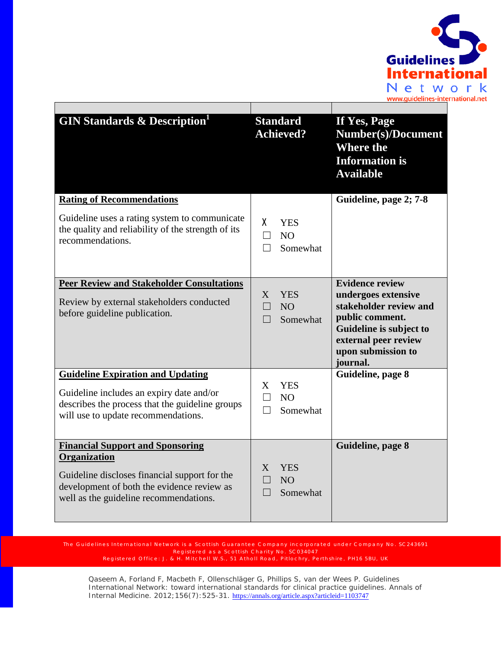

| <b>GIN Standards &amp; Description</b>                                                                                                                                                           | <b>Standard</b><br><b>Achieved?</b>                                      | If Yes, Page<br><b>Number(s)/Document</b><br><b>Where the</b><br><b>Information is</b><br><b>Available</b>                                                                      |
|--------------------------------------------------------------------------------------------------------------------------------------------------------------------------------------------------|--------------------------------------------------------------------------|---------------------------------------------------------------------------------------------------------------------------------------------------------------------------------|
| <b>Rating of Recommendations</b>                                                                                                                                                                 |                                                                          | Guideline, page 2; 7-8                                                                                                                                                          |
| Guideline uses a rating system to communicate<br>the quality and reliability of the strength of its<br>recommendations.                                                                          | X.<br><b>YES</b><br>N <sub>O</sub><br>П<br>Somewhat                      |                                                                                                                                                                                 |
| <b>Peer Review and Stakeholder Consultations</b><br>Review by external stakeholders conducted<br>before guideline publication.                                                                   | <b>YES</b><br>X<br>N <sub>O</sub><br>$\Box$<br>Somewhat<br>$\Box$        | <b>Evidence review</b><br>undergoes extensive<br>stakeholder review and<br>public comment.<br>Guideline is subject to<br>external peer review<br>upon submission to<br>journal. |
| <b>Guideline Expiration and Updating</b><br>Guideline includes an expiry date and/or<br>describes the process that the guideline groups<br>will use to update recommendations.                   | <b>YES</b><br>X<br>N <sub>O</sub><br>$\perp$<br>Somewhat<br>$\mathbf{L}$ | Guideline, page 8                                                                                                                                                               |
| <b>Financial Support and Sponsoring</b><br>Organization<br>Guideline discloses financial support for the<br>development of both the evidence review as<br>well as the guideline recommendations. | X<br><b>YES</b><br>NO <sub>1</sub><br>Somewhat<br>$\Box$                 | Guideline, page 8                                                                                                                                                               |

Registered as a Scottish Charity No. SC034047